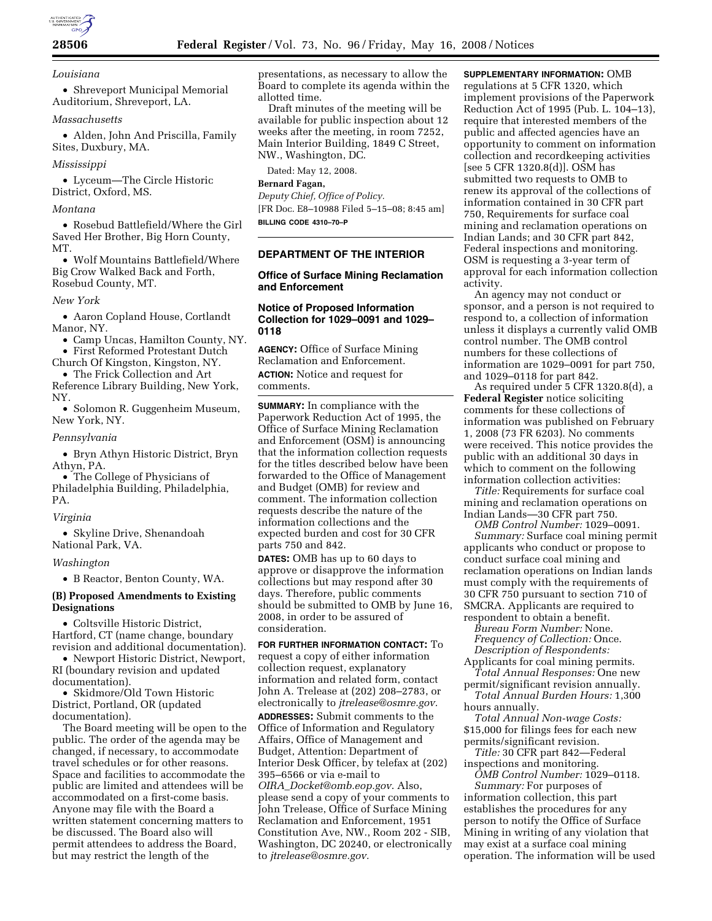

#### *Louisiana*

• Shreveport Municipal Memorial Auditorium, Shreveport, LA.

#### *Massachusetts*

• Alden, John And Priscilla, Family Sites, Duxbury, MA.

## *Mississippi*

• Lyceum—The Circle Historic District, Oxford, MS.

#### *Montana*

• Rosebud Battlefield/Where the Girl Saved Her Brother, Big Horn County, MT.

• Wolf Mountains Battlefield/Where Big Crow Walked Back and Forth, Rosebud County, MT.

#### *New York*

• Aaron Copland House, Cortlandt Manor, NY.

• Camp Uncas, Hamilton County, NY.

• First Reformed Protestant Dutch Church Of Kingston, Kingston, NY.

• The Frick Collection and Art Reference Library Building, New York, NY.

• Solomon R. Guggenheim Museum, New York, NY.

#### *Pennsylvania*

• Bryn Athyn Historic District, Bryn Athyn, PA.

• The College of Physicians of Philadelphia Building, Philadelphia, PA.

#### *Virginia*

• Skyline Drive, Shenandoah National Park, VA.

#### *Washington*

• B Reactor, Benton County, WA.

# **(B) Proposed Amendments to Existing Designations**

• Coltsville Historic District, Hartford, CT (name change, boundary revision and additional documentation).

• Newport Historic District, Newport, RI (boundary revision and updated documentation).

• Skidmore/Old Town Historic District, Portland, OR (updated documentation).

The Board meeting will be open to the public. The order of the agenda may be changed, if necessary, to accommodate travel schedules or for other reasons. Space and facilities to accommodate the public are limited and attendees will be accommodated on a first-come basis. Anyone may file with the Board a written statement concerning matters to be discussed. The Board also will permit attendees to address the Board, but may restrict the length of the

presentations, as necessary to allow the Board to complete its agenda within the allotted time.

Draft minutes of the meeting will be available for public inspection about 12 weeks after the meeting, in room 7252, Main Interior Building, 1849 C Street, NW., Washington, DC.

Dated: May 12, 2008.

## **Bernard Fagan,**

*Deputy Chief, Office of Policy.*  [FR Doc. E8–10988 Filed 5–15–08; 8:45 am] **BILLING CODE 4310–70–P** 

# **DEPARTMENT OF THE INTERIOR**

# **Office of Surface Mining Reclamation and Enforcement**

# **Notice of Proposed Information Collection for 1029–0091 and 1029– 0118**

**AGENCY:** Office of Surface Mining Reclamation and Enforcement. **ACTION:** Notice and request for comments.

**SUMMARY:** In compliance with the Paperwork Reduction Act of 1995, the Office of Surface Mining Reclamation and Enforcement (OSM) is announcing that the information collection requests for the titles described below have been forwarded to the Office of Management and Budget (OMB) for review and comment. The information collection requests describe the nature of the information collections and the expected burden and cost for 30 CFR parts 750 and 842.

**DATES:** OMB has up to 60 days to approve or disapprove the information collections but may respond after 30 days. Therefore, public comments should be submitted to OMB by June 16, 2008, in order to be assured of consideration.

**FOR FURTHER INFORMATION CONTACT:** To request a copy of either information collection request, explanatory information and related form, contact John A. Trelease at (202) 208–2783, or electronically to *jtrelease@osmre.gov.*  **ADDRESSES:** Submit comments to the Office of Information and Regulatory Affairs, Office of Management and Budget, Attention: Department of Interior Desk Officer, by telefax at (202) 395–6566 or via e-mail to *OIRA*\_*Docket@omb.eop.gov*. Also, please send a copy of your comments to John Trelease, Office of Surface Mining Reclamation and Enforcement, 1951 Constitution Ave, NW., Room 202 - SIB, Washington, DC 20240, or electronically to *jtrelease@osmre.gov.* 

**SUPPLEMENTARY INFORMATION:** OMB regulations at 5 CFR 1320, which implement provisions of the Paperwork Reduction Act of 1995 (Pub. L. 104–13), require that interested members of the public and affected agencies have an opportunity to comment on information collection and recordkeeping activities [see 5 CFR 1320.8(d)]. OSM has submitted two requests to OMB to renew its approval of the collections of information contained in 30 CFR part 750, Requirements for surface coal mining and reclamation operations on Indian Lands; and 30 CFR part 842, Federal inspections and monitoring. OSM is requesting a 3-year term of approval for each information collection activity.

An agency may not conduct or sponsor, and a person is not required to respond to, a collection of information unless it displays a currently valid OMB control number. The OMB control numbers for these collections of information are 1029–0091 for part 750, and 1029–0118 for part 842.

As required under 5 CFR 1320.8(d), a **Federal Register** notice soliciting comments for these collections of information was published on February 1, 2008 (73 FR 6203). No comments were received. This notice provides the public with an additional 30 days in which to comment on the following information collection activities:

*Title:* Requirements for surface coal mining and reclamation operations on Indian Lands—30 CFR part 750.

*OMB Control Number:* 1029–0091.

*Summary:* Surface coal mining permit applicants who conduct or propose to conduct surface coal mining and reclamation operations on Indian lands must comply with the requirements of 30 CFR 750 pursuant to section 710 of SMCRA. Applicants are required to respondent to obtain a benefit.

*Bureau Form Number:* None. *Frequency of Collection:* Once. *Description of Respondents:* 

Applicants for coal mining permits. *Total Annual Responses:* One new

permit/significant revision annually. *Total Annual Burden Hours:* 1,300 hours annually.

*Total Annual Non-wage Costs:*  \$15,000 for filings fees for each new permits/significant revision.

*Title:* 30 CFR part 842—Federal inspections and monitoring.

*OMB Control Number:* 1029–0118. *Summary:* For purposes of

information collection, this part establishes the procedures for any person to notify the Office of Surface Mining in writing of any violation that may exist at a surface coal mining operation. The information will be used